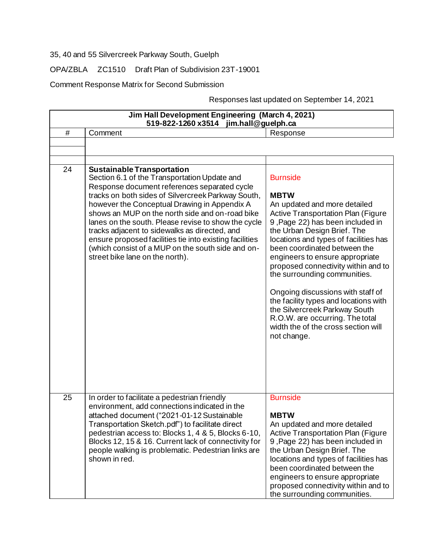35, 40 and 55 Silvercreek Parkway South, Guelph

OPA/ZBLA ZC1510 Draft Plan of Subdivision 23T-19001

Comment Response Matrix for Second Submission

Responses last updated on September 14, 2021

| Jim Hall Development Engineering (March 4, 2021)<br>jim.hall@guelph.ca<br>519-822-1260 x3514 |                                                                                                                                                                                                                                                                                                                                                                                                                                                                                                                                                       |                                                                                                                                                                                                                                                                                                                                                                                                                                                                                                                                                                           |
|----------------------------------------------------------------------------------------------|-------------------------------------------------------------------------------------------------------------------------------------------------------------------------------------------------------------------------------------------------------------------------------------------------------------------------------------------------------------------------------------------------------------------------------------------------------------------------------------------------------------------------------------------------------|---------------------------------------------------------------------------------------------------------------------------------------------------------------------------------------------------------------------------------------------------------------------------------------------------------------------------------------------------------------------------------------------------------------------------------------------------------------------------------------------------------------------------------------------------------------------------|
| #                                                                                            | Comment                                                                                                                                                                                                                                                                                                                                                                                                                                                                                                                                               | Response                                                                                                                                                                                                                                                                                                                                                                                                                                                                                                                                                                  |
|                                                                                              |                                                                                                                                                                                                                                                                                                                                                                                                                                                                                                                                                       |                                                                                                                                                                                                                                                                                                                                                                                                                                                                                                                                                                           |
| 24                                                                                           | <b>Sustainable Transportation</b><br>Section 6.1 of the Transportation Update and<br>Response document references separated cycle<br>tracks on both sides of Silvercreek Parkway South,<br>however the Conceptual Drawing in Appendix A<br>shows an MUP on the north side and on-road bike<br>lanes on the south. Please revise to show the cycle<br>tracks adjacent to sidewalks as directed, and<br>ensure proposed facilities tie into existing facilities<br>(which consist of a MUP on the south side and on-<br>street bike lane on the north). | <b>Burnside</b><br><b>MBTW</b><br>An updated and more detailed<br><b>Active Transportation Plan (Figure</b><br>9, Page 22) has been included in<br>the Urban Design Brief. The<br>locations and types of facilities has<br>been coordinated between the<br>engineers to ensure appropriate<br>proposed connectivity within and to<br>the surrounding communities.<br>Ongoing discussions with staff of<br>the facility types and locations with<br>the Silvercreek Parkway South<br>R.O.W. are occurring. The total<br>width the of the cross section will<br>not change. |
| 25                                                                                           | In order to facilitate a pedestrian friendly<br>environment, add connections indicated in the<br>attached document ("2021-01-12 Sustainable<br>Transportation Sketch.pdf") to facilitate direct<br>pedestrian access to: Blocks 1, 4 & 5, Blocks 6-10,<br>Blocks 12, 15 & 16. Current lack of connectivity for<br>people walking is problematic. Pedestrian links are<br>shown in red.                                                                                                                                                                | <b>Burnside</b><br><b>MBTW</b><br>An updated and more detailed<br><b>Active Transportation Plan (Figure</b><br>9, Page 22) has been included in<br>the Urban Design Brief. The<br>locations and types of facilities has<br>been coordinated between the<br>engineers to ensure appropriate<br>proposed connectivity within and to<br>the surrounding communities.                                                                                                                                                                                                         |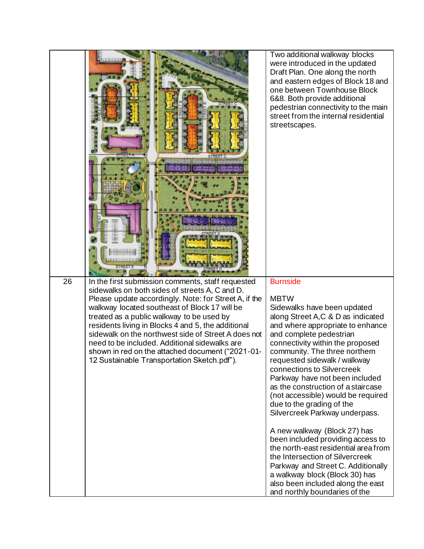|    | 111881301150                                                                                                                                                                                                                                                                                                                                                                                                                                                                                                                | Two additional walkway blocks<br>were introduced in the updated<br>Draft Plan. One along the north<br>and eastern edges of Block 18 and<br>one between Townhouse Block<br>6&8. Both provide additional<br>pedestrian connectivity to the main<br>street from the internal residential<br>streetscapes.                                                                                                                                                                                                                                                                                                                                                                                                                                         |
|----|-----------------------------------------------------------------------------------------------------------------------------------------------------------------------------------------------------------------------------------------------------------------------------------------------------------------------------------------------------------------------------------------------------------------------------------------------------------------------------------------------------------------------------|------------------------------------------------------------------------------------------------------------------------------------------------------------------------------------------------------------------------------------------------------------------------------------------------------------------------------------------------------------------------------------------------------------------------------------------------------------------------------------------------------------------------------------------------------------------------------------------------------------------------------------------------------------------------------------------------------------------------------------------------|
| 26 | In the first submission comments, staff requested<br>sidewalks on both sides of streets A, C and D.<br>Please update accordingly. Note: for Street A, if the<br>walkway located southeast of Block 17 will be<br>treated as a public walkway to be used by<br>residents living in Blocks 4 and 5, the additional<br>sidewalk on the northwest side of Street A does not<br>need to be included. Additional sidewalks are<br>shown in red on the attached document ("2021-01-<br>12 Sustainable Transportation Sketch.pdf"). | <b>Burnside</b><br><b>MBTW</b><br>Sidewalks have been updated<br>along Street A,C & D as indicated<br>and where appropriate to enhance<br>and complete pedestrian<br>connectivity within the proposed<br>community. The three northern<br>requested sidewalk / walkway<br>connections to Silvercreek<br>Parkway have not been included<br>as the construction of a staircase<br>(not accessible) would be required<br>due to the grading of the<br>Silvercreek Parkway underpass.<br>A new walkway (Block 27) has<br>been included providing access to<br>the north-east residential area from<br>the Intersection of Silvercreek<br>Parkway and Street C. Additionally<br>a walkway block (Block 30) has<br>also been included along the east |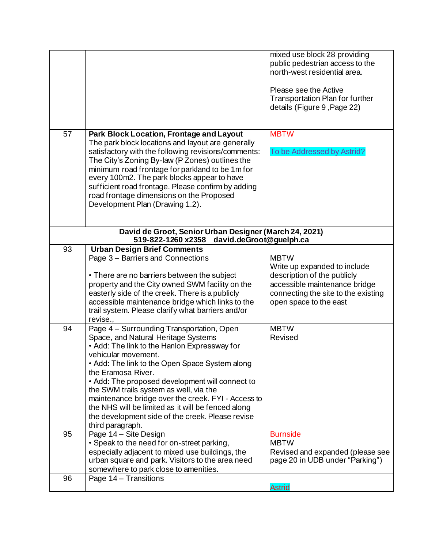|    |                                                                                                                                                                                                                                                                                                                                                                                                                                                                                                                  | mixed use block 28 providing<br>public pedestrian access to the<br>north-west residential area.<br>Please see the Active<br><b>Transportation Plan for further</b><br>details (Figure 9, Page 22) |
|----|------------------------------------------------------------------------------------------------------------------------------------------------------------------------------------------------------------------------------------------------------------------------------------------------------------------------------------------------------------------------------------------------------------------------------------------------------------------------------------------------------------------|---------------------------------------------------------------------------------------------------------------------------------------------------------------------------------------------------|
| 57 | Park Block Location, Frontage and Layout<br>The park block locations and layout are generally<br>satisfactory with the following revisions/comments:<br>The City's Zoning By-law (P Zones) outlines the<br>minimum road frontage for parkland to be 1m for<br>every 100m2. The park blocks appear to have<br>sufficient road frontage. Please confirm by adding<br>road frontage dimensions on the Proposed<br>Development Plan (Drawing 1.2).                                                                   | <b>MBTW</b><br>To be Addressed by Astrid?                                                                                                                                                         |
|    | David de Groot, Senior Urban Designer (March 24, 2021)                                                                                                                                                                                                                                                                                                                                                                                                                                                           |                                                                                                                                                                                                   |
|    | 519-822-1260 x2358<br>david.deGroot@guelph.ca                                                                                                                                                                                                                                                                                                                                                                                                                                                                    |                                                                                                                                                                                                   |
| 93 | <b>Urban Design Brief Comments</b><br>Page 3 - Barriers and Connections<br>• There are no barriers between the subject<br>property and the City owned SWM facility on the<br>easterly side of the creek. There is a publicly<br>accessible maintenance bridge which links to the<br>trail system. Please clarify what barriers and/or<br>revise                                                                                                                                                                  | <b>MBTW</b><br>Write up expanded to include<br>description of the publicly<br>accessible maintenance bridge<br>connecting the site to the existing<br>open space to the east                      |
| 94 | Page 4 - Surrounding Transportation, Open<br>Space, and Natural Heritage Systems<br>. Add: The link to the Hanlon Expressway for<br>vehicular movement.<br>• Add: The link to the Open Space System along<br>the Eramosa River.<br>• Add: The proposed development will connect to<br>the SWM trails system as well, via the<br>maintenance bridge over the creek. FYI - Access to<br>the NHS will be limited as it will be fenced along<br>the development side of the creek. Please revise<br>third paragraph. | <b>MBTW</b><br>Revised                                                                                                                                                                            |
| 95 | Page 14 - Site Design<br>• Speak to the need for on-street parking,<br>especially adjacent to mixed use buildings, the<br>urban square and park. Visitors to the area need<br>somewhere to park close to amenities.                                                                                                                                                                                                                                                                                              | <b>Burnside</b><br><b>MBTW</b><br>Revised and expanded (please see<br>page 20 in UDB under "Parking")                                                                                             |
| 96 | Page 14 - Transitions                                                                                                                                                                                                                                                                                                                                                                                                                                                                                            | <b>Astrid</b>                                                                                                                                                                                     |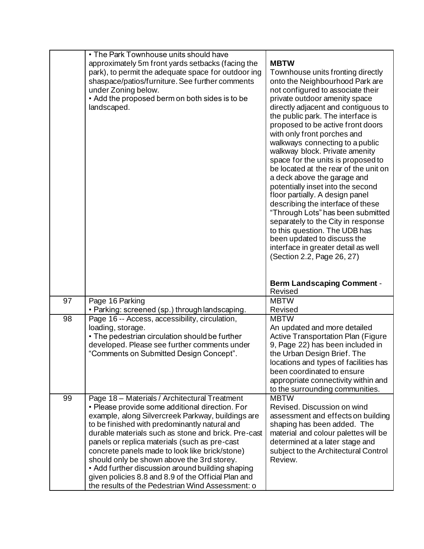|    | • The Park Townhouse units should have<br>approximately 5m front yards setbacks (facing the<br>park), to permit the adequate space for outdoor ing<br>shaspace/patios/furniture. See further comments<br>under Zoning below.<br>• Add the proposed berm on both sides is to be<br>landscaped.                                                                                                                                                                                                                                                                                 | <b>MBTW</b><br>Townhouse units fronting directly<br>onto the Neighbourhood Park are<br>not configured to associate their<br>private outdoor amenity space<br>directly adjacent and contiguous to<br>the public park. The interface is<br>proposed to be active front doors<br>with only front porches and<br>walkways connecting to a public<br>walkway block. Private amenity<br>space for the units is proposed to<br>be located at the rear of the unit on<br>a deck above the garage and<br>potentially inset into the second<br>floor partially. A design panel<br>describing the interface of these<br>"Through Lots" has been submitted<br>separately to the City in response<br>to this question. The UDB has<br>been updated to discuss the<br>interface in greater detail as well<br>(Section 2.2, Page 26, 27) |
|----|-------------------------------------------------------------------------------------------------------------------------------------------------------------------------------------------------------------------------------------------------------------------------------------------------------------------------------------------------------------------------------------------------------------------------------------------------------------------------------------------------------------------------------------------------------------------------------|---------------------------------------------------------------------------------------------------------------------------------------------------------------------------------------------------------------------------------------------------------------------------------------------------------------------------------------------------------------------------------------------------------------------------------------------------------------------------------------------------------------------------------------------------------------------------------------------------------------------------------------------------------------------------------------------------------------------------------------------------------------------------------------------------------------------------|
|    |                                                                                                                                                                                                                                                                                                                                                                                                                                                                                                                                                                               | <b>Berm Landscaping Comment -</b><br>Revised                                                                                                                                                                                                                                                                                                                                                                                                                                                                                                                                                                                                                                                                                                                                                                              |
| 97 | Page 16 Parking                                                                                                                                                                                                                                                                                                                                                                                                                                                                                                                                                               | <b>MBTW</b>                                                                                                                                                                                                                                                                                                                                                                                                                                                                                                                                                                                                                                                                                                                                                                                                               |
|    | • Parking: screened (sp.) through landscaping.                                                                                                                                                                                                                                                                                                                                                                                                                                                                                                                                | Revised                                                                                                                                                                                                                                                                                                                                                                                                                                                                                                                                                                                                                                                                                                                                                                                                                   |
| 98 | Page 16 -- Access, accessibility, circulation,<br>loading, storage.<br>• The pedestrian circulation should be further<br>developed. Please see further comments under<br>"Comments on Submitted Design Concept".                                                                                                                                                                                                                                                                                                                                                              | <b>MBTW</b><br>An updated and more detailed<br><b>Active Transportation Plan (Figure</b><br>9, Page 22) has been included in<br>the Urban Design Brief. The<br>locations and types of facilities has<br>been coordinated to ensure<br>appropriate connectivity within and<br>to the surrounding communities.                                                                                                                                                                                                                                                                                                                                                                                                                                                                                                              |
| 99 | Page 18 - Materials / Architectural Treatment<br>• Please provide some additional direction. For<br>example, along Silvercreek Parkway, buildings are<br>to be finished with predominantly natural and<br>durable materials such as stone and brick. Pre-cast<br>panels or replica materials (such as pre-cast<br>concrete panels made to look like brick/stone)<br>should only be shown above the 3rd storey.<br>• Add further discussion around building shaping<br>given policies 8.8 and 8.9 of the Official Plan and<br>the results of the Pedestrian Wind Assessment: o | <b>MBTW</b><br>Revised. Discussion on wind<br>assessment and effects on building<br>shaping has been added. The<br>material and colour palettes will be<br>determined at a later stage and<br>subject to the Architectural Control<br>Review.                                                                                                                                                                                                                                                                                                                                                                                                                                                                                                                                                                             |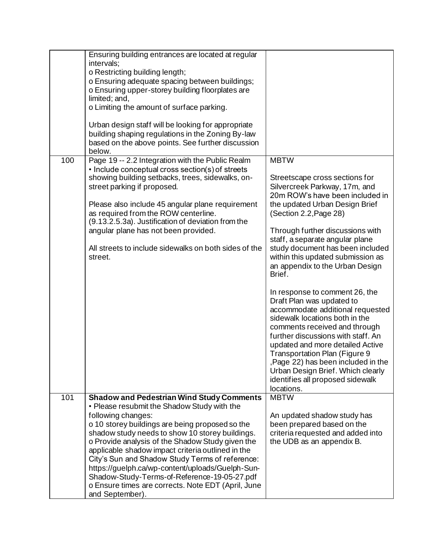|     | Ensuring building entrances are located at regular    |                                                                    |
|-----|-------------------------------------------------------|--------------------------------------------------------------------|
|     | intervals;                                            |                                                                    |
|     | o Restricting building length;                        |                                                                    |
|     | o Ensuring adequate spacing between buildings;        |                                                                    |
|     | o Ensuring upper-storey building floorplates are      |                                                                    |
|     | limited; and,                                         |                                                                    |
|     | o Limiting the amount of surface parking.             |                                                                    |
|     |                                                       |                                                                    |
|     | Urban design staff will be looking for appropriate    |                                                                    |
|     | building shaping regulations in the Zoning By-law     |                                                                    |
|     | based on the above points. See further discussion     |                                                                    |
|     | below.                                                |                                                                    |
| 100 | Page 19 -- 2.2 Integration with the Public Realm      | <b>MBTW</b>                                                        |
|     | • Include conceptual cross section(s) of streets      |                                                                    |
|     | showing building setbacks, trees, sidewalks, on-      | Streetscape cross sections for                                     |
|     | street parking if proposed.                           | Silvercreek Parkway, 17m, and                                      |
|     |                                                       | 20m ROW's have been included in                                    |
|     | Please also include 45 angular plane requirement      | the updated Urban Design Brief                                     |
|     | as required from the ROW centerline.                  | (Section 2.2, Page 28)                                             |
|     | (9.13.2.5.3a). Justification of deviation from the    |                                                                    |
|     | angular plane has not been provided.                  | Through further discussions with                                   |
|     |                                                       | staff, a separate angular plane                                    |
|     | All streets to include sidewalks on both sides of the | study document has been included                                   |
|     | street.                                               | within this updated submission as                                  |
|     |                                                       | an appendix to the Urban Design                                    |
|     |                                                       | Brief.                                                             |
|     |                                                       |                                                                    |
|     |                                                       | In response to comment 26, the                                     |
|     |                                                       | Draft Plan was updated to                                          |
|     |                                                       | accommodate additional requested<br>sidewalk locations both in the |
|     |                                                       |                                                                    |
|     |                                                       | comments received and through                                      |
|     |                                                       | further discussions with staff. An                                 |
|     |                                                       | updated and more detailed Active                                   |
|     |                                                       | Transportation Plan (Figure 9)                                     |
|     |                                                       | ,Page 22) has been included in the                                 |
|     |                                                       | Urban Design Brief. Which clearly                                  |
|     |                                                       | identifies all proposed sidewalk                                   |
|     |                                                       | locations.                                                         |
| 101 | <b>Shadow and Pedestrian Wind Study Comments</b>      | <b>MBTW</b>                                                        |
|     | • Please resubmit the Shadow Study with the           |                                                                    |
|     | following changes:                                    | An updated shadow study has                                        |
|     | o 10 storey buildings are being proposed so the       | been prepared based on the                                         |
|     | shadow study needs to show 10 storey buildings.       | criteria requested and added into                                  |
|     | o Provide analysis of the Shadow Study given the      | the UDB as an appendix B.                                          |
|     | applicable shadow impact criteria outlined in the     |                                                                    |
|     | City's Sun and Shadow Study Terms of reference:       |                                                                    |
|     | https://guelph.ca/wp-content/uploads/Guelph-Sun-      |                                                                    |
|     | Shadow-Study-Terms-of-Reference-19-05-27.pdf          |                                                                    |
|     | o Ensure times are corrects. Note EDT (April, June    |                                                                    |
|     | and September).                                       |                                                                    |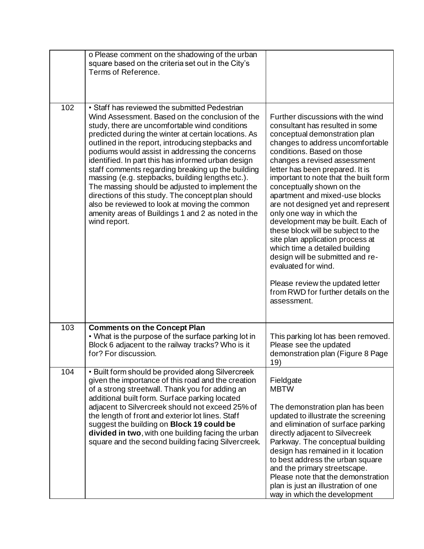|     | o Please comment on the shadowing of the urban<br>square based on the criteria set out in the City's<br>Terms of Reference.                                                                                                                                                                                                                                                                                                                                                                                                                                                                                                                                                                                      |                                                                                                                                                                                                                                                                                                                                                                                                                                                                                                                                                                                                                                                                                                                             |
|-----|------------------------------------------------------------------------------------------------------------------------------------------------------------------------------------------------------------------------------------------------------------------------------------------------------------------------------------------------------------------------------------------------------------------------------------------------------------------------------------------------------------------------------------------------------------------------------------------------------------------------------------------------------------------------------------------------------------------|-----------------------------------------------------------------------------------------------------------------------------------------------------------------------------------------------------------------------------------------------------------------------------------------------------------------------------------------------------------------------------------------------------------------------------------------------------------------------------------------------------------------------------------------------------------------------------------------------------------------------------------------------------------------------------------------------------------------------------|
| 102 | • Staff has reviewed the submitted Pedestrian<br>Wind Assessment. Based on the conclusion of the<br>study, there are uncomfortable wind conditions<br>predicted during the winter at certain locations. As<br>outlined in the report, introducing stepbacks and<br>podiums would assist in addressing the concerns<br>identified. In part this has informed urban design<br>staff comments regarding breaking up the building<br>massing (e.g. stepbacks, building lengths etc.).<br>The massing should be adjusted to implement the<br>directions of this study. The concept plan should<br>also be reviewed to look at moving the common<br>amenity areas of Buildings 1 and 2 as noted in the<br>wind report. | Further discussions with the wind<br>consultant has resulted in some<br>conceptual demonstration plan<br>changes to address uncomfortable<br>conditions. Based on those<br>changes a revised assessment<br>letter has been prepared. It is<br>important to note that the built form<br>conceptually shown on the<br>apartment and mixed-use blocks<br>are not designed yet and represent<br>only one way in which the<br>development may be built. Each of<br>these block will be subject to the<br>site plan application process at<br>which time a detailed building<br>design will be submitted and re-<br>evaluated for wind.<br>Please review the updated letter<br>from RWD for further details on the<br>assessment. |
| 103 | <b>Comments on the Concept Plan</b><br>• What is the purpose of the surface parking lot in<br>Block 6 adjacent to the railway tracks? Who is it<br>for? For discussion.                                                                                                                                                                                                                                                                                                                                                                                                                                                                                                                                          | This parking lot has been removed.<br>Please see the updated<br>demonstration plan (Figure 8 Page<br>19)                                                                                                                                                                                                                                                                                                                                                                                                                                                                                                                                                                                                                    |
| 104 | • Built form should be provided along Silvercreek<br>given the importance of this road and the creation<br>of a strong streetwall. Thank you for adding an<br>additional built form. Surface parking located<br>adjacent to Silvercreek should not exceed 25% of<br>the length of front and exterior lot lines. Staff<br>suggest the building on <b>Block 19 could be</b><br>divided in two, with one building facing the urban<br>square and the second building facing Silvercreek.                                                                                                                                                                                                                            | Fieldgate<br><b>MBTW</b><br>The demonstration plan has been<br>updated to illustrate the screening<br>and elimination of surface parking<br>directly adjacent to Silvecreek<br>Parkway. The conceptual building<br>design has remained in it location<br>to best address the urban square<br>and the primary streetscape.<br>Please note that the demonstration<br>plan is just an illustration of one<br>way in which the development                                                                                                                                                                                                                                                                                      |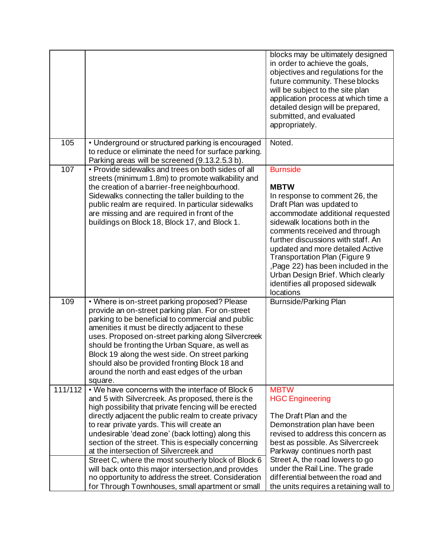|         |                                                                                                                                                                                                                                                                                                                                                                                                                                                                                    | blocks may be ultimately designed<br>in order to achieve the goals,<br>objectives and regulations for the<br>future community. These blocks<br>will be subject to the site plan<br>application process at which time a<br>detailed design will be prepared,<br>submitted, and evaluated<br>appropriately.                                                                                                                                    |
|---------|------------------------------------------------------------------------------------------------------------------------------------------------------------------------------------------------------------------------------------------------------------------------------------------------------------------------------------------------------------------------------------------------------------------------------------------------------------------------------------|----------------------------------------------------------------------------------------------------------------------------------------------------------------------------------------------------------------------------------------------------------------------------------------------------------------------------------------------------------------------------------------------------------------------------------------------|
| 105     | • Underground or structured parking is encouraged<br>to reduce or eliminate the need for surface parking.<br>Parking areas will be screened (9.13.2.5.3 b).                                                                                                                                                                                                                                                                                                                        | Noted.                                                                                                                                                                                                                                                                                                                                                                                                                                       |
| 107     | • Provide sidewalks and trees on both sides of all<br>streets (minimum 1.8m) to promote walkability and<br>the creation of a barrier-free neighbourhood.<br>Sidewalks connecting the taller building to the<br>public realm are required. In particular sidewalks<br>are missing and are required in front of the<br>buildings on Block 18, Block 17, and Block 1.                                                                                                                 | <b>Burnside</b><br><b>MBTW</b><br>In response to comment 26, the<br>Draft Plan was updated to<br>accommodate additional requested<br>sidewalk locations both in the<br>comments received and through<br>further discussions with staff. An<br>updated and more detailed Active<br>Transportation Plan (Figure 9<br>, Page 22) has been included in the<br>Urban Design Brief. Which clearly<br>identifies all proposed sidewalk<br>locations |
| 109     | • Where is on-street parking proposed? Please<br>provide an on-street parking plan. For on-street<br>parking to be beneficial to commercial and public<br>amenities it must be directly adjacent to these<br>uses. Proposed on-street parking along Silvercreek<br>should be fronting the Urban Square, as well as<br>Block 19 along the west side. On street parking<br>should also be provided fronting Block 18 and<br>around the north and east edges of the urban<br>square.  | <b>Burnside/Parking Plan</b>                                                                                                                                                                                                                                                                                                                                                                                                                 |
| 111/112 | . We have concerns with the interface of Block 6<br>and 5 with Silvercreek. As proposed, there is the<br>high possibility that private fencing will be erected<br>directly adjacent the public realm to create privacy<br>to rear private yards. This will create an<br>undesirable 'dead zone' (back lotting) along this<br>section of the street. This is especially concerning<br>at the intersection of Silvercreek and<br>Street C, where the most southerly block of Block 6 | <b>MBTW</b><br><b>HGC Engineering</b><br>The Draft Plan and the<br>Demonstration plan have been<br>revised to address this concern as<br>best as possible. As Silvercreek<br>Parkway continues north past<br>Street A, the road lowers to go                                                                                                                                                                                                 |
|         | will back onto this major intersection, and provides<br>no opportunity to address the street. Consideration<br>for Through Townhouses, small apartment or small                                                                                                                                                                                                                                                                                                                    | under the Rail Line. The grade<br>differential between the road and<br>the units requires a retaining wall to                                                                                                                                                                                                                                                                                                                                |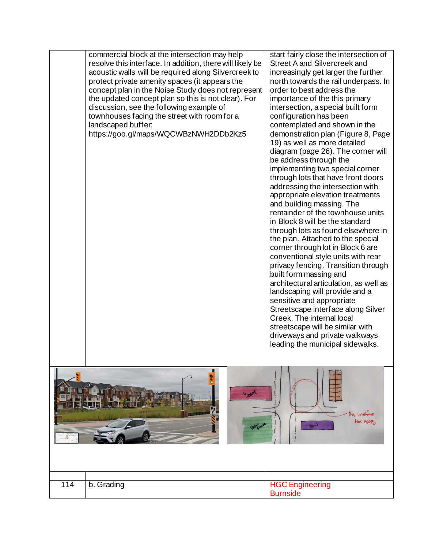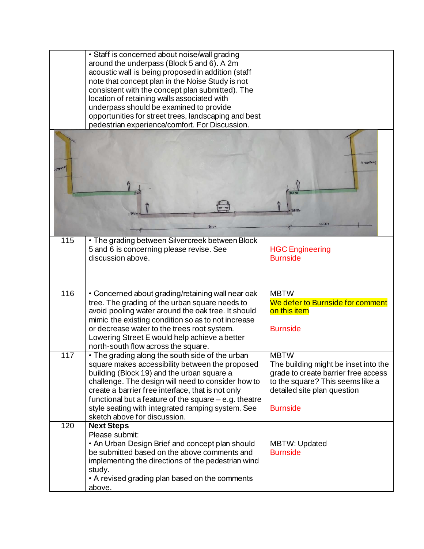|                  | • Staff is concerned about noise/wall grading          |                                      |
|------------------|--------------------------------------------------------|--------------------------------------|
|                  | around the underpass (Block 5 and 6). A 2m             |                                      |
|                  | acoustic wall is being proposed in addition (staff     |                                      |
|                  | note that concept plan in the Noise Study is not       |                                      |
|                  | consistent with the concept plan submitted). The       |                                      |
|                  | location of retaining walls associated with            |                                      |
|                  | underpass should be examined to provide                |                                      |
|                  |                                                        |                                      |
|                  | opportunities for street trees, landscaping and best   |                                      |
|                  | pedestrian experience/comfort. For Discussion.         |                                      |
| Stokey           |                                                        | 3 stile<br>$10 - 12 - 1$             |
|                  |                                                        |                                      |
| 115              | • The grading between Silvercreek between Block        |                                      |
|                  | 5 and 6 is concerning please revise. See               | <b>HGC Engineering</b>               |
|                  | discussion above.                                      | <b>Burnside</b>                      |
|                  |                                                        |                                      |
|                  |                                                        |                                      |
|                  |                                                        |                                      |
|                  |                                                        |                                      |
| 116              | • Concerned about grading/retaining wall near oak      | <b>MBTW</b>                          |
|                  | tree. The grading of the urban square needs to         | We defer to Burnside for comment     |
|                  | avoid pooling water around the oak tree. It should     | on this item                         |
|                  | mimic the existing condition so as to not increase     |                                      |
|                  | or decrease water to the trees root system.            | <b>Burnside</b>                      |
|                  | Lowering Street E would help achieve a better          |                                      |
|                  | north-south flow across the square.                    |                                      |
| $\overline{117}$ | . The grading along the south side of the urban        | <b>MBTW</b>                          |
|                  | square makes accessibility between the proposed        | The building might be inset into the |
|                  |                                                        |                                      |
|                  | building (Block 19) and the urban square a             | grade to create barrier free access  |
|                  | challenge. The design will need to consider how to     | to the square? This seems like a     |
|                  | create a barrier free interface, that is not only      | detailed site plan question          |
|                  | functional but a feature of the square $-e.g.$ theatre |                                      |
|                  | style seating with integrated ramping system. See      | <b>Burnside</b>                      |
|                  | sketch above for discussion.                           |                                      |
| 120              | <b>Next Steps</b>                                      |                                      |
|                  | Please submit:                                         |                                      |
|                  | • An Urban Design Brief and concept plan should        | <b>MBTW: Updated</b>                 |
|                  | be submitted based on the above comments and           | <b>Burnside</b>                      |
|                  | implementing the directions of the pedestrian wind     |                                      |
|                  |                                                        |                                      |
|                  | study.                                                 |                                      |
|                  | • A revised grading plan based on the comments         |                                      |
|                  | above.                                                 |                                      |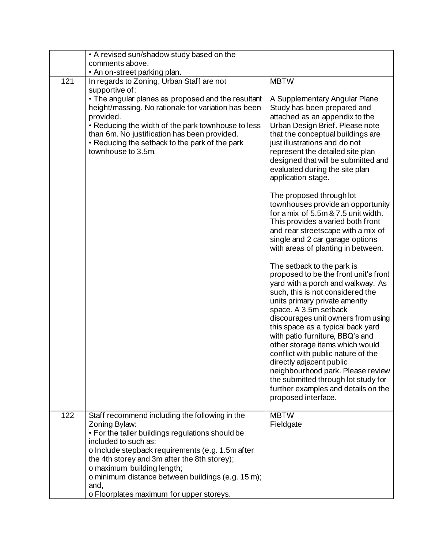|     | • A revised sun/shadow study based on the                                                      |                                                                     |
|-----|------------------------------------------------------------------------------------------------|---------------------------------------------------------------------|
|     | comments above.                                                                                |                                                                     |
|     | • An on-street parking plan.                                                                   |                                                                     |
| 121 | In regards to Zoning, Urban Staff are not                                                      | <b>MBTW</b>                                                         |
|     | supportive of:                                                                                 |                                                                     |
|     | • The angular planes as proposed and the resultant                                             | A Supplementary Angular Plane                                       |
|     | height/massing. No rationale for variation has been                                            | Study has been prepared and                                         |
|     | provided.                                                                                      | attached as an appendix to the                                      |
|     | • Reducing the width of the park townhouse to less                                             | Urban Design Brief. Please note                                     |
|     | than 6m. No justification has been provided.<br>• Reducing the setback to the park of the park | that the conceptual buildings are<br>just illustrations and do not  |
|     | townhouse to 3.5m.                                                                             | represent the detailed site plan                                    |
|     |                                                                                                | designed that will be submitted and                                 |
|     |                                                                                                | evaluated during the site plan                                      |
|     |                                                                                                | application stage.                                                  |
|     |                                                                                                |                                                                     |
|     |                                                                                                | The proposed through lot                                            |
|     |                                                                                                | townhouses provide an opportunity                                   |
|     |                                                                                                | for a mix of 5.5m & 7.5 unit width.                                 |
|     |                                                                                                | This provides a varied both front                                   |
|     |                                                                                                | and rear streetscape with a mix of                                  |
|     |                                                                                                | single and 2 car garage options                                     |
|     |                                                                                                | with areas of planting in between.                                  |
|     |                                                                                                |                                                                     |
|     |                                                                                                | The setback to the park is<br>proposed to be the front unit's front |
|     |                                                                                                | yard with a porch and walkway. As                                   |
|     |                                                                                                | such, this is not considered the                                    |
|     |                                                                                                | units primary private amenity                                       |
|     |                                                                                                | space. A 3.5m setback                                               |
|     |                                                                                                | discourages unit owners from using                                  |
|     |                                                                                                | this space as a typical back yard                                   |
|     |                                                                                                | with patio furniture, BBQ's and                                     |
|     |                                                                                                | other storage items which would                                     |
|     |                                                                                                | conflict with public nature of the                                  |
|     |                                                                                                | directly adjacent public                                            |
|     |                                                                                                | neighbourhood park. Please review                                   |
|     |                                                                                                | the submitted through lot study for                                 |
|     |                                                                                                | further examples and details on the                                 |
|     |                                                                                                | proposed interface.                                                 |
| 122 | Staff recommend including the following in the                                                 | <b>MBTW</b>                                                         |
|     | Zoning Bylaw:                                                                                  | Fieldgate                                                           |
|     | • For the taller buildings regulations should be                                               |                                                                     |
|     | included to such as:                                                                           |                                                                     |
|     | o Include stepback requirements (e.g. 1.5m after                                               |                                                                     |
|     | the 4th storey and 3m after the 8th storey);                                                   |                                                                     |
|     | o maximum building length;                                                                     |                                                                     |
|     | o minimum distance between buildings (e.g. 15 m);                                              |                                                                     |
|     | and,                                                                                           |                                                                     |
|     | o Floorplates maximum for upper storeys.                                                       |                                                                     |